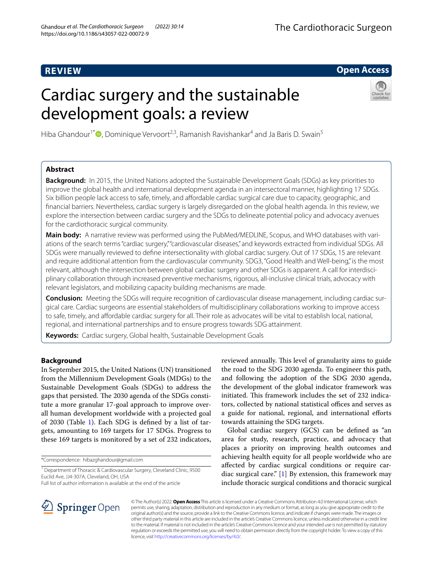# **REVIEW**

# **Open Access**

# Cardiac surgery and the sustainable development goals: a review



Hiba Ghandour<sup>1[\\*](http://orcid.org/0000-0002-3375-6600)</sup>  $\bullet$ , Dominique Vervoort<sup>2,3</sup>, Ramanish Ravishankar<sup>4</sup> and Ja Baris D. Swain<sup>5</sup>

# **Abstract**

**Background:** In 2015, the United Nations adopted the Sustainable Development Goals (SDGs) as key priorities to improve the global health and international development agenda in an intersectoral manner, highlighting 17 SDGs. Six billion people lack access to safe, timely, and affordable cardiac surgical care due to capacity, geographic, and fnancial barriers. Nevertheless, cardiac surgery is largely disregarded on the global health agenda. In this review, we explore the intersection between cardiac surgery and the SDGs to delineate potential policy and advocacy avenues for the cardiothoracic surgical community.

**Main body:** A narrative review was performed using the PubMed/MEDLINE, Scopus, and WHO databases with variations of the search terms "cardiac surgery," "cardiovascular diseases," and keywords extracted from individual SDGs. All SDGs were manually reviewed to defne intersectionality with global cardiac surgery. Out of 17 SDGs, 15 are relevant and require additional attention from the cardiovascular community. SDG3, "Good Health and Well-being," is the most relevant, although the intersection between global cardiac surgery and other SDGs is apparent. A call for interdisciplinary collaboration through increased preventive mechanisms, rigorous, all-inclusive clinical trials, advocacy with relevant legislators, and mobilizing capacity building mechanisms are made.

**Conclusion:** Meeting the SDGs will require recognition of cardiovascular disease management, including cardiac surgical care. Cardiac surgeons are essential stakeholders of multidisciplinary collaborations working to improve access to safe, timely, and afordable cardiac surgery for all. Their role as advocates will be vital to establish local, national, regional, and international partnerships and to ensure progress towards SDG attainment.

**Keywords:** Cardiac surgery, Global health, Sustainable Development Goals

# **Background**

In September 2015, the United Nations (UN) transitioned from the Millennium Development Goals (MDGs) to the Sustainable Development Goals (SDGs) to address the gaps that persisted. The 2030 agenda of the SDGs constitute a more granular 17-goal approach to improve overall human development worldwide with a projected goal of 2030 (Table [1\)](#page-1-0). Each SDG is defned by a list of targets, amounting to 169 targets for 17 SDGs. Progress to these 169 targets is monitored by a set of 232 indicators,

\*Correspondence: hibazghandour@gmail.com

reviewed annually. This level of granularity aims to guide the road to the SDG 2030 agenda. To engineer this path, and following the adoption of the SDG 2030 agenda, the development of the global indicator framework was initiated. This framework includes the set of 232 indicators, collected by national statistical offices and serves as a guide for national, regional, and international efforts towards attaining the SDG targets.

Global cardiac surgery (GCS) can be defned as "an area for study, research, practice, and advocacy that places a priority on improving health outcomes and achieving health equity for all people worldwide who are afected by cardiac surgical conditions or require cardiac surgical care."  $[1]$  $[1]$  By extension, this framework may include thoracic surgical conditions and thoracic surgical



© The Author(s) 2022. **Open Access** This article is licensed under a Creative Commons Attribution 4.0 International License, which permits use, sharing, adaptation, distribution and reproduction in any medium or format, as long as you give appropriate credit to the original author(s) and the source, provide a link to the Creative Commons licence, and indicate if changes were made. The images or other third party material in this article are included in the article's Creative Commons licence, unless indicated otherwise in a credit line to the material. If material is not included in the article's Creative Commons licence and your intended use is not permitted by statutory regulation or exceeds the permitted use, you will need to obtain permission directly from the copyright holder. To view a copy of this licence, visit [http://creativecommons.org/licenses/by/4.0/.](http://creativecommons.org/licenses/by/4.0/)

<sup>&</sup>lt;sup>1</sup> Department of Thoracic & Cardiovascular Surgery, Cleveland Clinic, 9500 Euclid Ave, JJ4-307A, Cleveland, OH, USA

Full list of author information is available at the end of the article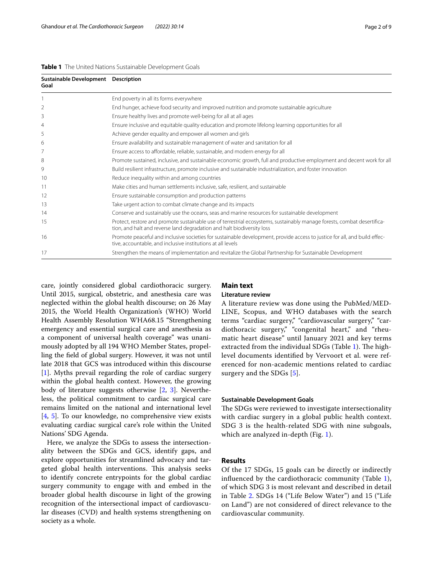#### <span id="page-1-0"></span>**Table 1** The United Nations Sustainable Development Goals

| Sustainable Development Description<br>Goal |                                                                                                                                                                                                   |
|---------------------------------------------|---------------------------------------------------------------------------------------------------------------------------------------------------------------------------------------------------|
|                                             | End poverty in all its forms everywhere                                                                                                                                                           |
| 2                                           | End hunger, achieve food security and improved nutrition and promote sustainable agriculture                                                                                                      |
| 3                                           | Ensure healthy lives and promote well-being for all at all ages                                                                                                                                   |
| $\overline{4}$                              | Ensure inclusive and equitable quality education and promote lifelong learning opportunities for all                                                                                              |
| 5                                           | Achieve gender equality and empower all women and girls                                                                                                                                           |
| 6                                           | Ensure availability and sustainable management of water and sanitation for all                                                                                                                    |
| 7                                           | Ensure access to affordable, reliable, sustainable, and modern energy for all                                                                                                                     |
| 8                                           | Promote sustained, inclusive, and sustainable economic growth, full and productive employment and decent work for all                                                                             |
| 9                                           | Build resilient infrastructure, promote inclusive and sustainable industrialization, and foster innovation                                                                                        |
| 10                                          | Reduce inequality within and among countries                                                                                                                                                      |
| 11                                          | Make cities and human settlements inclusive, safe, resilient, and sustainable                                                                                                                     |
| 12                                          | Ensure sustainable consumption and production patterns                                                                                                                                            |
| 13                                          | Take urgent action to combat climate change and its impacts                                                                                                                                       |
| 14                                          | Conserve and sustainably use the oceans, seas and marine resources for sustainable development                                                                                                    |
| 15                                          | Protect, restore and promote sustainable use of terrestrial ecosystems, sustainably manage forests, combat desertifica-<br>tion, and halt and reverse land degradation and halt biodiversity loss |
| 16                                          | Promote peaceful and inclusive societies for sustainable development, provide access to justice for all, and build effec-<br>tive, accountable, and inclusive institutions at all levels          |
| 17                                          | Strengthen the means of implementation and revitalize the Global Partnership for Sustainable Development                                                                                          |

care, jointly considered global cardiothoracic surgery. Until 2015, surgical, obstetric, and anesthesia care was neglected within the global health discourse; on 26 May 2015, the World Health Organization's (WHO) World Health Assembly Resolution WHA68.15 "Strengthening emergency and essential surgical care and anesthesia as a component of universal health coverage" was unanimously adopted by all 194 WHO Member States, propelling the feld of global surgery. However, it was not until late 2018 that GCS was introduced within this discourse [[1\]](#page-7-0). Myths prevail regarding the role of cardiac surgery within the global health context. However, the growing body of literature suggests otherwise [\[2](#page-7-1), [3](#page-7-2)]. Nevertheless, the political commitment to cardiac surgical care remains limited on the national and international level [[4,](#page-7-3) [5](#page-7-4)]. To our knowledge, no comprehensive view exists evaluating cardiac surgical care's role within the United Nations' SDG Agenda.

Here, we analyze the SDGs to assess the intersectionality between the SDGs and GCS, identify gaps, and explore opportunities for streamlined advocacy and targeted global health interventions. This analysis seeks to identify concrete entrypoints for the global cardiac surgery community to engage with and embed in the broader global health discourse in light of the growing recognition of the intersectional impact of cardiovascular diseases (CVD) and health systems strengthening on society as a whole.

# **Main text**

# **Literature review**

A literature review was done using the PubMed/MED-LINE, Scopus, and WHO databases with the search terms "cardiac surgery," "cardiovascular surgery," "cardiothoracic surgery," "congenital heart," and "rheumatic heart disease" until January 2021 and key terms extracted from the individual SDGs (Table [1](#page-1-0)). The highlevel documents identifed by Vervoort et al. were referenced for non-academic mentions related to cardiac surgery and the SDGs [\[5\]](#page-7-4).

#### **Sustainable Development Goals**

The SDGs were reviewed to investigate intersectionality with cardiac surgery in a global public health context. SDG 3 is the health-related SDG with nine subgoals, which are analyzed in-depth (Fig. [1\)](#page-2-0).

# **Results**

Of the 17 SDGs, 15 goals can be directly or indirectly infuenced by the cardiothoracic community (Table [1](#page-1-0)), of which SDG 3 is most relevant and described in detail in Table [2](#page-2-1). SDGs 14 ("Life Below Water") and 15 ("Life on Land") are not considered of direct relevance to the cardiovascular community.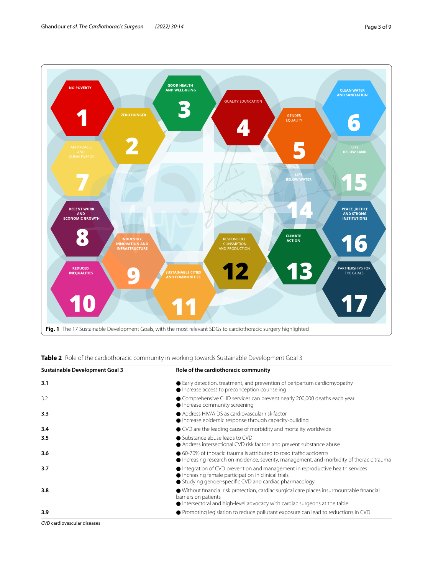

<span id="page-2-1"></span><span id="page-2-0"></span>

| Table 2 Role of the cardiothoracic community in working towards Sustainable Development Goal 3 |
|------------------------------------------------------------------------------------------------|
|------------------------------------------------------------------------------------------------|

| <b>Sustainable Development Goal 3</b> | Role of the cardiothoracic community                                                                                                                                                                    |
|---------------------------------------|---------------------------------------------------------------------------------------------------------------------------------------------------------------------------------------------------------|
| 3.1                                   | • Early detection, treatment, and prevention of peripartum cardiomyopathy<br>• Increase access to preconception counseling                                                                              |
| 3.2                                   | ● Comprehensive CHD services can prevent nearly 200,000 deaths each year<br>• Increase community screening                                                                                              |
| 3.3                                   | • Address HIV/AIDS as cardiovascular risk factor<br>• Increase epidemic response through capacity-building                                                                                              |
| 3.4                                   | ● CVD are the leading cause of morbidity and mortality worldwide                                                                                                                                        |
| 3.5                                   | ● Substance abuse leads to CVD<br>Address intersectional CVD risk factors and prevent substance abuse                                                                                                   |
| 3.6                                   | ● 60-70% of thoracic trauma is attributed to road traffic accidents<br>• Increasing research on incidence, severity, management, and morbidity of thoracic trauma                                       |
| 3.7                                   | $\bullet$ Integration of CVD prevention and management in reproductive health services<br>Increasing female participation in clinical trials<br>● Studying gender-specific CVD and cardiac pharmacology |
| 3.8                                   | ● Without financial risk protection, cardiac surgical care places insurmountable financial<br>barriers on patients<br>• Intersectoral and high-level advocacy with cardiac surgeons at the table        |
| 3.9                                   | ● Promoting legislation to reduce pollutant exposure can lead to reductions in CVD                                                                                                                      |

*CVD* cardiovascular diseases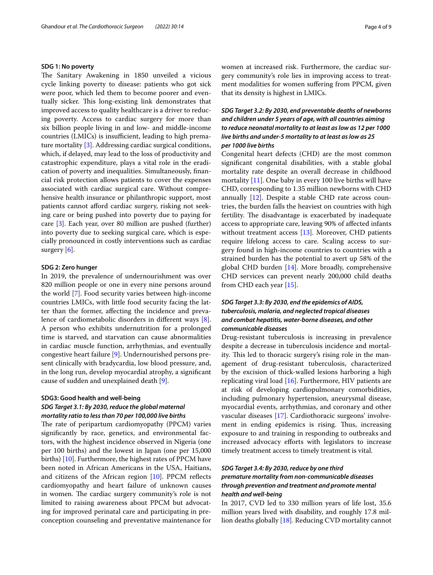#### **SDG 1: No poverty**

The Sanitary Awakening in 1850 unveiled a vicious cycle linking poverty to disease: patients who got sick were poor, which led them to become poorer and eventually sicker. This long-existing link demonstrates that improved access to quality healthcare is a driver to reducing poverty. Access to cardiac surgery for more than six billion people living in and low- and middle-income countries (LMICs) is insufficient, leading to high premature mortality [[3\]](#page-7-2). Addressing cardiac surgical conditions, which, if delayed, may lead to the loss of productivity and catastrophic expenditure, plays a vital role in the eradication of poverty and inequalities. Simultaneously, fnancial risk protection allows patients to cover the expenses associated with cardiac surgical care. Without comprehensive health insurance or philanthropic support, most patients cannot afford cardiac surgery, risking not seeking care or being pushed into poverty due to paying for care [\[3](#page-7-2)]. Each year, over 80 million are pushed (further) into poverty due to seeking surgical care, which is especially pronounced in costly interventions such as cardiac surgery [[6\]](#page-7-5).

#### **SDG 2: Zero hunger**

In 2019, the prevalence of undernourishment was over 820 million people or one in every nine persons around the world [\[7](#page-7-6)]. Food security varies between high-income countries LMICs, with little food security facing the latter than the former, afecting the incidence and prevalence of cardiometabolic disorders in diferent ways [\[8](#page-7-7)]. A person who exhibits undernutrition for a prolonged time is starved, and starvation can cause abnormalities in cardiac muscle function, arrhythmias, and eventually congestive heart failure [\[9](#page-7-8)]. Undernourished persons present clinically with bradycardia, low blood pressure, and, in the long run, develop myocardial atrophy, a signifcant cause of sudden and unexplained death [\[9](#page-7-8)].

## **SDG3: Good health and well‑being**

# *SDG Target 3.1: By 2030, reduce the global maternal mortality ratio to less than 70 per 100,000 live births*

The rate of peripartum cardiomyopathy (PPCM) varies signifcantly by race, genetics, and environmental factors, with the highest incidence observed in Nigeria (one per 100 births) and the lowest in Japan (one per 15,000 births) [\[10](#page-7-9)]. Furthermore, the highest rates of PPCM have been noted in African Americans in the USA, Haitians, and citizens of the African region [[10\]](#page-7-9). PPCM refects cardiomyopathy and heart failure of unknown causes in women. The cardiac surgery community's role is not limited to raising awareness about PPCM but advocating for improved perinatal care and participating in preconception counseling and preventative maintenance for women at increased risk. Furthermore, the cardiac surgery community's role lies in improving access to treatment modalities for women sufering from PPCM, given that its density is highest in LMICs.

# *SDG Target 3.2: By 2030, end preventable deaths of newborns and children under 5 years of age, with all countries aiming to reduce neonatal mortality to at least as low as 12 per 1000 live births and under‑5 mortality to at least as low as 25 per 1000 live births*

Congenital heart defects (CHD) are the most common signifcant congenital disabilities, with a stable global mortality rate despite an overall decrease in childhood mortality [\[11](#page-8-0)]. One baby in every 100 live births will have CHD, corresponding to 1.35 million newborns with CHD annually [[12\]](#page-8-1). Despite a stable CHD rate across countries, the burden falls the heaviest on countries with high fertility. The disadvantage is exacerbated by inadequate access to appropriate care, leaving 90% of afected infants without treatment access [\[13](#page-8-2)]. Moreover, CHD patients require lifelong access to care. Scaling access to surgery found in high-income countries to countries with a strained burden has the potential to avert up 58% of the global CHD burden [\[14\]](#page-8-3). More broadly, comprehensive CHD services can prevent nearly 200,000 child deaths from CHD each year [[15\]](#page-8-4).

# *SDG Target 3.3: By 2030, end the epidemics of AIDS, tuberculosis, malaria, and neglected tropical diseases and combat hepatitis, water‑borne diseases, and other communicable diseases*

Drug-resistant tuberculosis is increasing in prevalence despite a decrease in tuberculosis incidence and mortality. This led to thoracic surgery's rising role in the management of drug-resistant tuberculosis, characterized by the excision of thick-walled lesions harboring a high replicating viral load [\[16\]](#page-8-5). Furthermore, HIV patients are at risk of developing cardiopulmonary comorbidities, including pulmonary hypertension, aneurysmal disease, myocardial events, arrhythmias, and coronary and other vascular diseases [\[17\]](#page-8-6). Cardiothoracic surgeons' involvement in ending epidemics is rising. Thus, increasing exposure to and training in responding to outbreaks and increased advocacy eforts with legislators to increase timely treatment access to timely treatment is vital.

# *SDG Target 3.4: By 2030, reduce by one third premature mortality from non‑communicable diseases through prevention and treatment and promote mental health and well‑being*

In 2017, CVD led to 330 million years of life lost, 35.6 million years lived with disability, and roughly 17.8 million deaths globally [[18](#page-8-7)]. Reducing CVD mortality cannot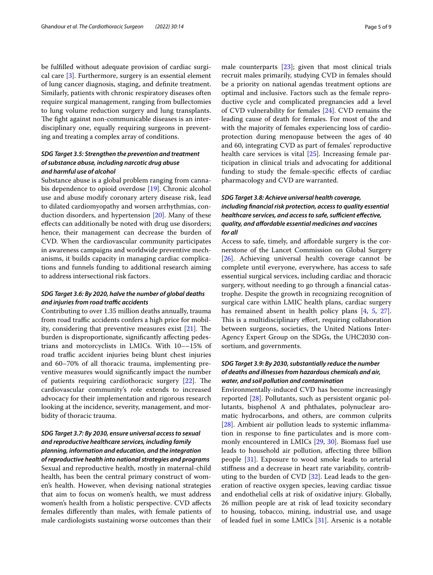be fulflled without adequate provision of cardiac surgical care [\[3](#page-7-2)]. Furthermore, surgery is an essential element of lung cancer diagnosis, staging, and defnite treatment. Similarly, patients with chronic respiratory diseases often require surgical management, ranging from bullectomies to lung volume reduction surgery and lung transplants. The fight against non-communicable diseases is an interdisciplinary one, equally requiring surgeons in preventing and treating a complex array of conditions.

# *SDG Target 3.5: Strengthen the prevention and treatment of substance abuse, including narcotic drug abuse and harmful use of alcohol*

Substance abuse is a global problem ranging from cannabis dependence to opioid overdose [\[19](#page-8-8)]. Chronic alcohol use and abuse modify coronary artery disease risk, lead to dilated cardiomyopathy and worsen arrhythmias, conduction disorders, and hypertension [\[20\]](#page-8-9). Many of these efects can additionally be noted with drug use disorders; hence, their management can decrease the burden of CVD. When the cardiovascular community participates in awareness campaigns and worldwide preventive mechanisms, it builds capacity in managing cardiac complications and funnels funding to additional research aiming to address intersectional risk factors.

# *SDG Target 3.6: By 2020, halve the number of global deaths and injuries from road trafc accidents*

Contributing to over 1.35 million deaths annually, trauma from road traffic accidents confers a high price for mobility, considering that preventive measures exist  $[21]$  $[21]$  $[21]$ . The burden is disproportionate, signifcantly afecting pedestrians and motorcyclists in LMICs. With 10––15% of road traffic accident injuries being blunt chest injuries and 60–70% of all thoracic trauma, implementing preventive measures would signifcantly impact the number of patients requiring cardiothoracic surgery  $[22]$  $[22]$  $[22]$ . The cardiovascular community's role extends to increased advocacy for their implementation and rigorous research looking at the incidence, severity, management, and morbidity of thoracic trauma.

# *SDG Target 3.7: By 2030, ensure universal access to sexual and reproductive healthcare services, including family planning, information and education, and the integration*

*of reproductive health into national strategies and programs* Sexual and reproductive health, mostly in maternal-child health, has been the central primary construct of women's health. However, when devising national strategies that aim to focus on women's health, we must address women's health from a holistic perspective. CVD affects females diferently than males, with female patients of male cardiologists sustaining worse outcomes than their male counterparts [\[23\]](#page-8-12); given that most clinical trials recruit males primarily, studying CVD in females should be a priority on national agendas treatment options are optimal and inclusive. Factors such as the female reproductive cycle and complicated pregnancies add a level of CVD vulnerability for females [[24\]](#page-8-13). CVD remains the leading cause of death for females. For most of the and with the majority of females experiencing loss of cardioprotection during menopause between the ages of 40 and 60, integrating CVD as part of females' reproductive health care services is vital [[25](#page-8-14)]. Increasing female participation in clinical trials and advocating for additional funding to study the female-specifc efects of cardiac pharmacology and CVD are warranted.

# *SDG Target 3.8: Achieve universal health coverage, including fnancial risk protection, access to quality essential*  healthcare services, and access to safe, sufficient effective, *quality, and afordable essential medicines and vaccines for all*

Access to safe, timely, and afordable surgery is the cornerstone of the Lancet Commission on Global Surgery [[26\]](#page-8-15). Achieving universal health coverage cannot be complete until everyone, everywhere, has access to safe essential surgical services, including cardiac and thoracic surgery, without needing to go through a fnancial catastrophe. Despite the growth in recognizing recognition of surgical care within LMIC health plans, cardiac surgery has remained absent in health policy plans [[4,](#page-7-3) [5](#page-7-4), [27](#page-8-16)]. This is a multidisciplinary effort, requiring collaboration between surgeons, societies, the United Nations Inter-Agency Expert Group on the SDGs, the UHC2030 consortium, and governments.

# *SDG Target 3.9: By 2030, substantially reduce the number of deaths and illnesses from hazardous chemicals and air, water, and soil pollution and contamination*

Environmentally-induced CVD has become increasingly reported [[28](#page-8-17)]. Pollutants, such as persistent organic pollutants, bisphenol A and phthalates, polynuclear aromatic hydrocarbons, and others, are common culprits [[28\]](#page-8-17). Ambient air pollution leads to systemic inflammation in response to fne particulates and is more commonly encountered in LMICs [\[29,](#page-8-18) [30](#page-8-19)]. Biomass fuel use leads to household air pollution, afecting three billion people [[31](#page-8-20)]. Exposure to wood smoke leads to arterial stifness and a decrease in heart rate variability, contributing to the burden of CVD [[32\]](#page-8-21). Lead leads to the generation of reactive oxygen species, leaving cardiac tissue and endothelial cells at risk of oxidative injury. Globally, 26 million people are at risk of lead toxicity secondary to housing, tobacco, mining, industrial use, and usage of leaded fuel in some LMICs [[31\]](#page-8-20). Arsenic is a notable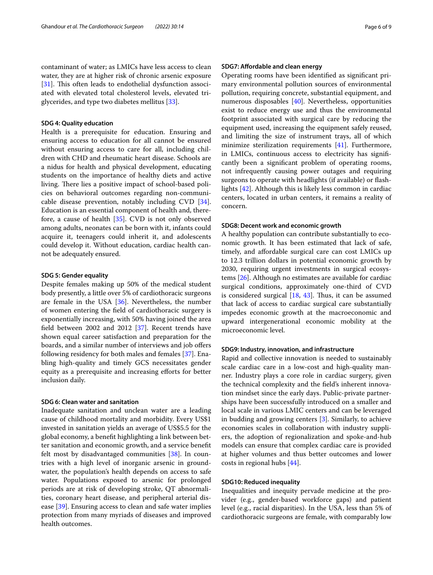contaminant of water; as LMICs have less access to clean water, they are at higher risk of chronic arsenic exposure [[31\]](#page-8-20). This often leads to endothelial dysfunction associated with elevated total cholesterol levels, elevated triglycerides, and type two diabetes mellitus [\[33](#page-8-22)].

#### **SDG 4: Quality education**

Health is a prerequisite for education. Ensuring and ensuring access to education for all cannot be ensured without ensuring access to care for all, including children with CHD and rheumatic heart disease. Schools are a nidus for health and physical development, educating students on the importance of healthy diets and active living. There lies a positive impact of school-based policies on behavioral outcomes regarding non-communicable disease prevention, notably including CVD [\[34](#page-8-23)]. Education is an essential component of health and, therefore, a cause of health [[35\]](#page-8-24). CVD is not only observed among adults, neonates can be born with it, infants could acquire it, teenagers could inherit it, and adolescents could develop it. Without education, cardiac health cannot be adequately ensured.

#### **SDG 5: Gender equality**

Despite females making up 50% of the medical student body presently, a little over 5% of cardiothoracic surgeons are female in the USA [[36](#page-8-25)]. Nevertheless, the number of women entering the feld of cardiothoracic surgery is exponentially increasing, with 50% having joined the area feld between 2002 and 2012 [[37\]](#page-8-26). Recent trends have shown equal career satisfaction and preparation for the boards, and a similar number of interviews and job ofers following residency for both males and females [[37\]](#page-8-26). Enabling high-quality and timely GCS necessitates gender equity as a prerequisite and increasing eforts for better inclusion daily.

#### **SDG 6: Clean water and sanitation**

Inadequate sanitation and unclean water are a leading cause of childhood mortality and morbidity. Every US\$1 invested in sanitation yields an average of US\$5.5 for the global economy, a beneft highlighting a link between better sanitation and economic growth, and a service beneft felt most by disadvantaged communities [[38\]](#page-8-27). In countries with a high level of inorganic arsenic in groundwater, the population's health depends on access to safe water. Populations exposed to arsenic for prolonged periods are at risk of developing stroke, QT abnormalities, coronary heart disease, and peripheral arterial disease [[39\]](#page-8-28). Ensuring access to clean and safe water implies protection from many myriads of diseases and improved health outcomes.

### **SDG7: Afordable and clean energy**

Operating rooms have been identifed as signifcant primary environmental pollution sources of environmental pollution, requiring concrete, substantial equipment, and numerous disposables [\[40](#page-8-29)]. Nevertheless, opportunities exist to reduce energy use and thus the environmental footprint associated with surgical care by reducing the equipment used, increasing the equipment safely reused, and limiting the size of instrument trays, all of which minimize sterilization requirements [[41\]](#page-8-30). Furthermore, in LMICs, continuous access to electricity has signifcantly been a signifcant problem of operating rooms, not infrequently causing power outages and requiring surgeons to operate with headlights (if available) or flashlights [[42\]](#page-8-31). Although this is likely less common in cardiac centers, located in urban centers, it remains a reality of concern.

#### **SDG8: Decent work and economic growth**

A healthy population can contribute substantially to economic growth. It has been estimated that lack of safe, timely, and afordable surgical care can cost LMICs up to 12.3 trillion dollars in potential economic growth by 2030, requiring urgent investments in surgical ecosystems [[26\]](#page-8-15). Although no estimates are available for cardiac surgical conditions, approximately one-third of CVD is considered surgical  $[18, 43]$  $[18, 43]$  $[18, 43]$  $[18, 43]$  $[18, 43]$ . Thus, it can be assumed that lack of access to cardiac surgical care substantially impedes economic growth at the macroeconomic and upward intergenerational economic mobility at the microeconomic level.

## **SDG9: Industry, innovation, and infrastructure**

Rapid and collective innovation is needed to sustainably scale cardiac care in a low-cost and high-quality manner. Industry plays a core role in cardiac surgery, given the technical complexity and the feld's inherent innovation mindset since the early days. Public-private partnerships have been successfully introduced on a smaller and local scale in various LMIC centers and can be leveraged in budding and growing centers [[3](#page-7-2)]. Similarly, to achieve economies scales in collaboration with industry suppliers, the adoption of regionalization and spoke-and-hub models can ensure that complex cardiac care is provided at higher volumes and thus better outcomes and lower costs in regional hubs [[44\]](#page-8-33).

## **SDG10: Reduced inequality**

Inequalities and inequity pervade medicine at the provider (e.g., gender-based workforce gaps) and patient level (e.g., racial disparities). In the USA, less than 5% of cardiothoracic surgeons are female, with comparably low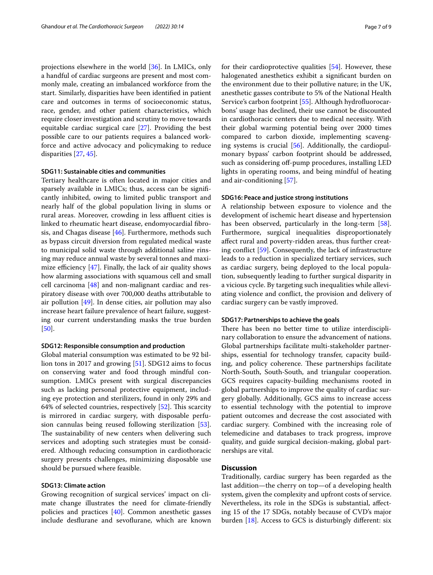projections elsewhere in the world [[36\]](#page-8-25). In LMICs, only a handful of cardiac surgeons are present and most commonly male, creating an imbalanced workforce from the start. Similarly, disparities have been identifed in patient care and outcomes in terms of socioeconomic status, race, gender, and other patient characteristics, which require closer investigation and scrutiny to move towards equitable cardiac surgical care [[27\]](#page-8-16). Providing the best possible care to our patients requires a balanced workforce and active advocacy and policymaking to reduce disparities [\[27](#page-8-16), [45\]](#page-8-34).

#### **SDG11: Sustainable cities and communities**

Tertiary healthcare is often located in major cities and sparsely available in LMICs; thus, access can be signifcantly inhibited, owing to limited public transport and nearly half of the global population living in slums or rural areas. Moreover, crowding in less affluent cities is linked to rheumatic heart disease, endomyocardial fbrosis, and Chagas disease [[46\]](#page-8-35). Furthermore, methods such as bypass circuit diversion from regulated medical waste to municipal solid waste through additional saline rinsing may reduce annual waste by several tonnes and maximize efficiency  $[47]$  $[47]$ . Finally, the lack of air quality shows how alarming associations with squamous cell and small cell carcinoma [[48\]](#page-8-37) and non-malignant cardiac and respiratory disease with over 700,000 deaths attributable to air pollution [[49\]](#page-8-38). In dense cities, air pollution may also increase heart failure prevalence of heart failure, suggesting our current understanding masks the true burden [[50\]](#page-8-39).

#### **SDG12: Responsible consumption and production**

Global material consumption was estimated to be 92 billion tons in 2017 and growing [[51\]](#page-8-40). SDG12 aims to focus on conserving water and food through mindful consumption. LMICs present with surgical discrepancies such as lacking personal protective equipment, including eye protection and sterilizers, found in only 29% and 64% of selected countries, respectively  $[52]$  $[52]$ . This scarcity is mirrored in cardiac surgery, with disposable perfusion cannulas being reused following sterilization [\[53](#page-8-42)]. The sustainability of new centers when delivering such services and adopting such strategies must be considered. Although reducing consumption in cardiothoracic surgery presents challenges, minimizing disposable use should be pursued where feasible.

#### **SDG13: Climate action**

Growing recognition of surgical services' impact on climate change illustrates the need for climate-friendly policies and practices [\[40\]](#page-8-29). Common anesthetic gasses include desfurane and sevofurane, which are known for their cardioprotective qualities [[54\]](#page-8-43). However, these halogenated anesthetics exhibit a signifcant burden on the environment due to their pollutive nature; in the UK, anesthetic gasses contribute to 5% of the National Health Service's carbon footprint [\[55](#page-8-44)]. Although hydrofluorocarbons' usage has declined, their use cannot be discounted in cardiothoracic centers due to medical necessity. With their global warming potential being over 2000 times compared to carbon dioxide, implementing scavenging systems is crucial [\[56](#page-8-45)]. Additionally, the cardiopulmonary bypass' carbon footprint should be addressed, such as considering off-pump procedures, installing LED lights in operating rooms, and being mindful of heating and air-conditioning [\[57\]](#page-8-46).

### **SDG16: Peace and justice strong institutions**

A relationship between exposure to violence and the development of ischemic heart disease and hypertension has been observed, particularly in the long-term [\[58](#page-8-47)]. Furthermore, surgical inequalities disproportionately afect rural and poverty-ridden areas, thus further creating confict [\[59\]](#page-8-48). Consequently, the lack of infrastructure leads to a reduction in specialized tertiary services, such as cardiac surgery, being deployed to the local population, subsequently leading to further surgical disparity in a vicious cycle. By targeting such inequalities while alleviating violence and confict, the provision and delivery of cardiac surgery can be vastly improved.

#### **SDG17: Partnerships to achieve the goals**

There has been no better time to utilize interdisciplinary collaboration to ensure the advancement of nations. Global partnerships facilitate multi-stakeholder partnerships, essential for technology transfer, capacity building, and policy coherence. These partnerships facilitate North-South, South-South, and triangular cooperation. GCS requires capacity-building mechanisms rooted in global partnerships to improve the quality of cardiac surgery globally. Additionally, GCS aims to increase access to essential technology with the potential to improve patient outcomes and decrease the cost associated with cardiac surgery. Combined with the increasing role of telemedicine and databases to track progress, improve quality, and guide surgical decision-making, global partnerships are vital.

## **Discussion**

Traditionally, cardiac surgery has been regarded as the last addition—the cherry on top—of a developing health system, given the complexity and upfront costs of service. Nevertheless, its role in the SDGs is substantial, afecting 15 of the 17 SDGs, notably because of CVD's major burden [[18](#page-8-7)]. Access to GCS is disturbingly diferent: six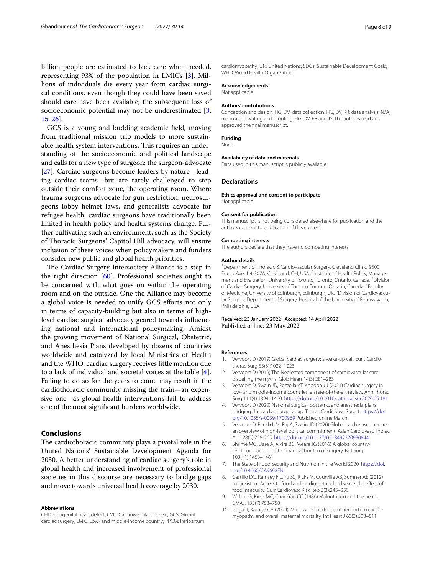billion people are estimated to lack care when needed, representing 93% of the population in LMICs [\[3](#page-7-2)]. Millions of individuals die every year from cardiac surgical conditions, even though they could have been saved should care have been available; the subsequent loss of socioeconomic potential may not be underestimated [\[3](#page-7-2), [15,](#page-8-4) [26\]](#page-8-15).

GCS is a young and budding academic feld, moving from traditional mission trip models to more sustainable health system interventions. This requires an understanding of the socioeconomic and political landscape and calls for a new type of surgeon: the surgeon-advocate [[27\]](#page-8-16). Cardiac surgeons become leaders by nature—leading cardiac teams—but are rarely challenged to step outside their comfort zone, the operating room. Where trauma surgeons advocate for gun restriction, neurosurgeons lobby helmet laws, and generalists advocate for refugee health, cardiac surgeons have traditionally been limited in health policy and health systems change. Further cultivating such an environment, such as the Society of Thoracic Surgeons' Capitol Hill advocacy, will ensure inclusion of these voices when policymakers and funders consider new public and global health priorities.

The Cardiac Surgery Intersociety Alliance is a step in the right direction  $[60]$  $[60]$ . Professional societies ought to be concerned with what goes on within the operating room and on the outside. One the Alliance may become a global voice is needed to unify GCS eforts not only in terms of capacity-building but also in terms of highlevel cardiac surgical advocacy geared towards infuencing national and international policymaking. Amidst the growing movement of National Surgical, Obstetric, and Anesthesia Plans developed by dozens of countries worldwide and catalyzed by local Ministries of Health and the WHO, cardiac surgery receives little mention due to a lack of individual and societal voices at the table [\[4](#page-7-3)]. Failing to do so for the years to come may result in the cardiothoracic community missing the train—an expensive one—as global health interventions fail to address one of the most signifcant burdens worldwide.

# **Conclusions**

The cardiothoracic community plays a pivotal role in the United Nations' Sustainable Development Agenda for 2030. A better understanding of cardiac surgery's role in global health and increased involvement of professional societies in this discourse are necessary to bridge gaps and move towards universal health coverage by 2030.

#### **Abbreviations**

CHD: Congenital heart defect; CVD: Cardiovascular disease; GCS: Global cardiac surgery; LMIC: Low- and middle-income country; PPCM: Peripartum cardiomyopathy; UN: United Nations; SDGs: Sustainable Development Goals; WHO: World Health Organization.

## **Acknowledgements**

Not applicable.

#### **Authors' contributions**

Conception and design: HG, DV; data collection: HG, DV, RR; data analysis: N/A; manuscript writing and proofng: HG, DV, RR and JS. The authors read and approved the fnal manuscript.

#### **Funding**

None.

## **Availability of data and materials**

Data used in this manuscript is publicly available.

#### **Declarations**

**Ethics approval and consent to participate** Not applicable.

#### **Consent for publication**

This manuscript is not being considered elsewhere for publication and the authors consent to publication of this content.

#### **Competing interests**

The authors declare that they have no competing interests.

#### **Author details**

<sup>1</sup> Department of Thoracic & Cardiovascular Surgery, Cleveland Clinic, 9500 Euclid Ave, JJ4-307A, Cleveland, OH, USA. <sup>2</sup>Institute of Health Policy, Management and Evaluation, University of Toronto, Toronto, Ontario, Canada.<sup>3</sup> Division of Cardiac Surgery, University of Toronto, Toronto, Ontario, Canada. <sup>4</sup> Faculty of Medicine, University of Edinburgh, Edinburgh, UK.<sup>5</sup> Division of Cardiovascular Surgery, Department of Surgery, Hospital of the University of Pennsylvania, Philadelphia, USA.

#### Received: 23 January 2022 Accepted: 14 April 2022 Published online: 23 May 2022

#### **References**

- <span id="page-7-0"></span>Vervoort D (2019) Global cardiac surgery: a wake-up call. Eur J Cardiothorac Surg 55(5):1022–1023
- <span id="page-7-1"></span>2. Vervoort D (2019) The Neglected component of cardiovascular care: dispelling the myths. Glob Heart 14(3):281–283
- <span id="page-7-2"></span>3. Vervoort D, Swain JD, Pezzella AT, Kpodonu J (2021) Cardiac surgery in low- and middle-income countries: a state-of-the-art review. Ann Thorac Surg 111(4):1394–1400. <https://doi.org/10.1016/j.athoracsur.2020.05.181>
- <span id="page-7-3"></span>4. Vervoort D (2020) National surgical, obstetric, and anesthesia plans: bridging the cardiac surgery gap. Thorac Cardiovasc Surg 1. [https://doi.](https://doi.org/10.1055/s-0039-1700969) [org/10.1055/s-0039-1700969](https://doi.org/10.1055/s-0039-1700969) Published online March
- <span id="page-7-4"></span>5. Vervoort D, Parikh UM, Raj A, Swain JD (2020) Global cardiovascular care: an overview of high-level political commitment. Asian Cardiovasc Thorac Ann 28(5):258-265.<https://doi.org/10.1177/0218492320930844>
- <span id="page-7-5"></span>6. Shrime MG, Dare A, Alkire BC, Meara JG (2016) A global countrylevel comparison of the fnancial burden of surgery. Br J Surg 103(11):1453–1461
- <span id="page-7-6"></span>7. The State of Food Security and Nutrition in the World 2020. [https://doi.](https://doi.org/10.4060/CA9692EN) [org/10.4060/CA9692EN](https://doi.org/10.4060/CA9692EN)
- <span id="page-7-7"></span>8. Castillo DC, Ramsey NL, Yu SS, Ricks M, Courville AB, Sumner AE (2012) Inconsistent Access to food and cardiometabolic disease: the efect of food insecurity. Curr Cardiovasc Risk Rep 6(3):245–250
- <span id="page-7-8"></span>9. Webb JG, Kiess MC, Chan-Yan CC (1986) Malnutrition and the heart. CMAJ. 135(7):753–758
- <span id="page-7-9"></span>10. Isogai T, Kamiya CA (2019) Worldwide incidence of peripartum cardiomyopathy and overall maternal mortality. Int Heart J 60(3):503–511